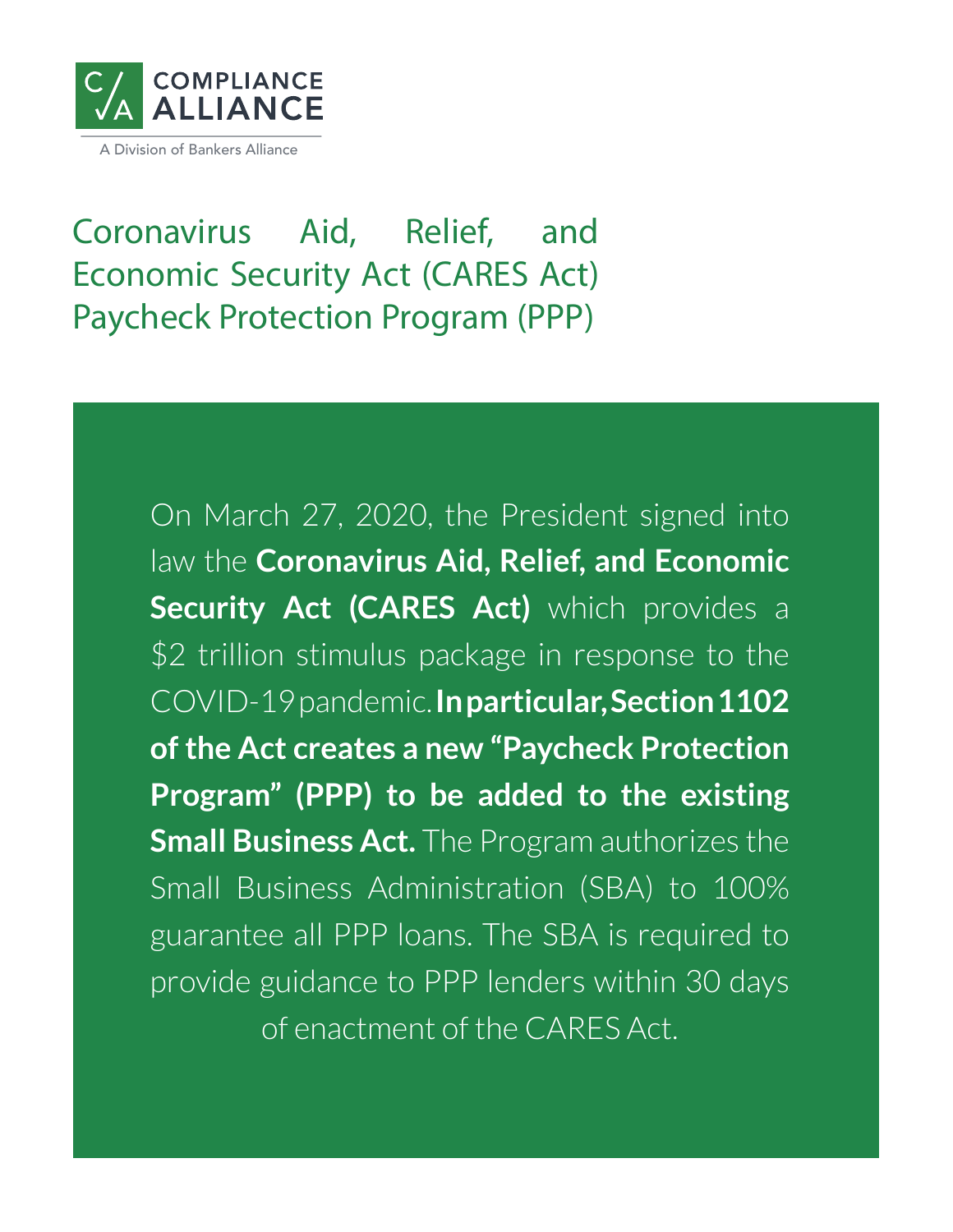

Coronavirus Aid, Relief, and Economic Security Act (CARES Act) Paycheck Protection Program (PPP)

> On March 27, 2020, the President signed into law the **Coronavirus Aid, Relief, and Economic Security Act (CARES Act)** which provides a \$2 trillion stimulus package in response to the COVID-19 pandemic. **In particular, Section 1102 of the Act creates a new "Paycheck Protection Program" (PPP) to be added to the existing Small Business Act.** The Program authorizes the Small Business Administration (SBA) to 100% guarantee all PPP loans. The SBA is required to provide guidance to PPP lenders within 30 days of enactment of the CARES Act.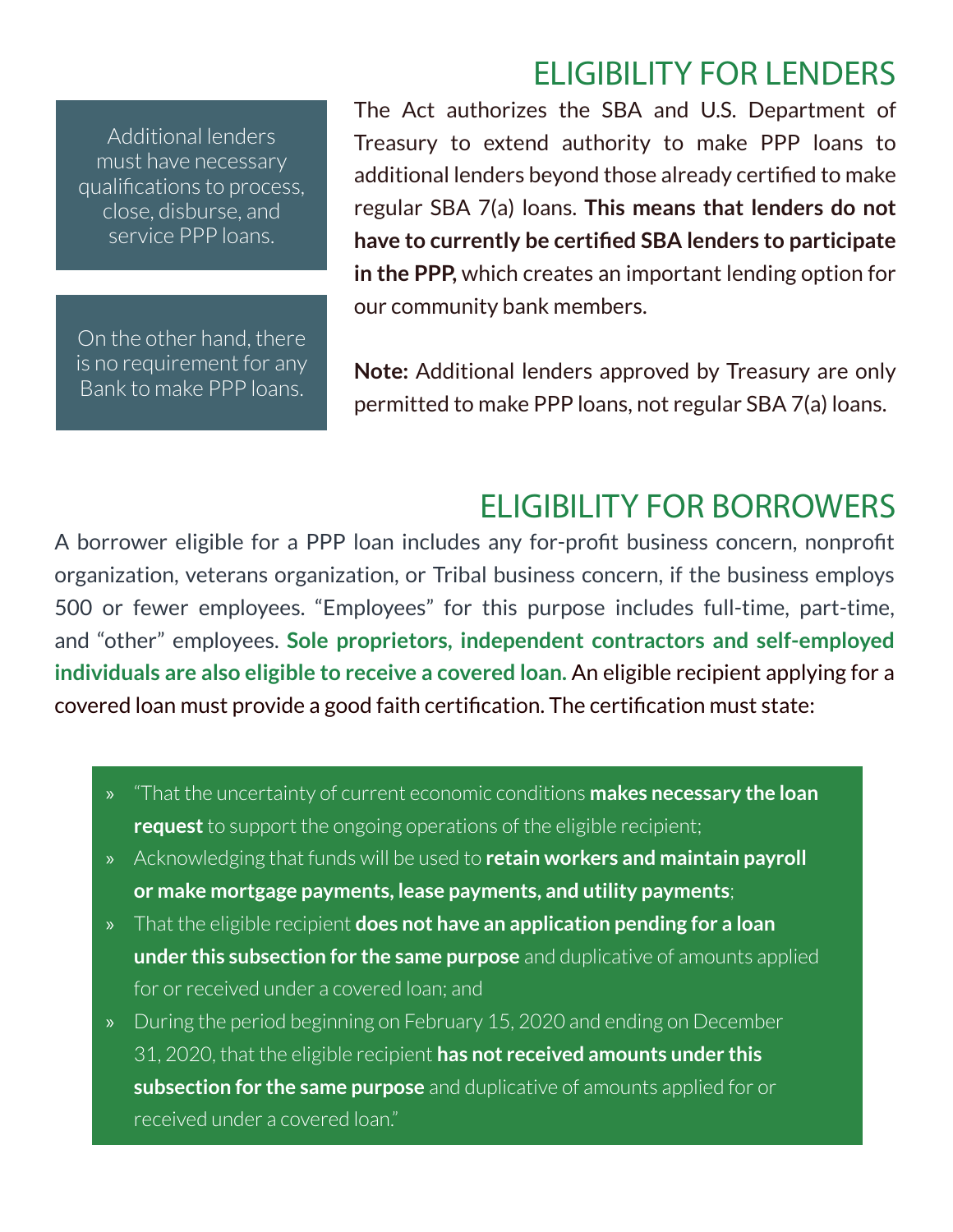## ELIGIBILITY FOR LENDERS

Additional lenders must have necessary qualifications to process, close, disburse, and service PPP loans.

On the other hand, there is no requirement for any Bank to make PPP loans.

The Act authorizes the SBA and U.S. Department of Treasury to extend authority to make PPP loans to additional lenders beyond those already certified to make regular SBA 7(a) loans. **This means that lenders do not have to currently be certified SBA lenders to participate in the PPP,** which creates an important lending option for our community bank members.

**Note:** Additional lenders approved by Treasury are only permitted to make PPP loans, not regular SBA 7(a) loans.

## ELIGIBILITY FOR BORROWERS

A borrower eligible for a PPP loan includes any for-profit business concern, nonprofit organization, veterans organization, or Tribal business concern, if the business employs 500 or fewer employees. "Employees" for this purpose includes full-time, part-time, and "other" employees. **Sole proprietors, independent contractors and self-employed individuals are also eligible to receive a covered loan.** An eligible recipient applying for a covered loan must provide a good faith certification. The certification must state:

- » "That the uncertainty of current economic conditions **makes necessary the loan request** to support the ongoing operations of the eligible recipient;
- » Acknowledging that funds will be used to **retain workers and maintain payroll or make mortgage payments, lease payments, and utility payments**;
- » That the eligible recipient **does not have an application pending for a loan under this subsection for the same purpose** and duplicative of amounts applied for or received under a covered loan; and
- » During the period beginning on February 15, 2020 and ending on December 31, 2020, that the eligible recipient **has not received amounts under this subsection for the same purpose** and duplicative of amounts applied for or received under a covered loan."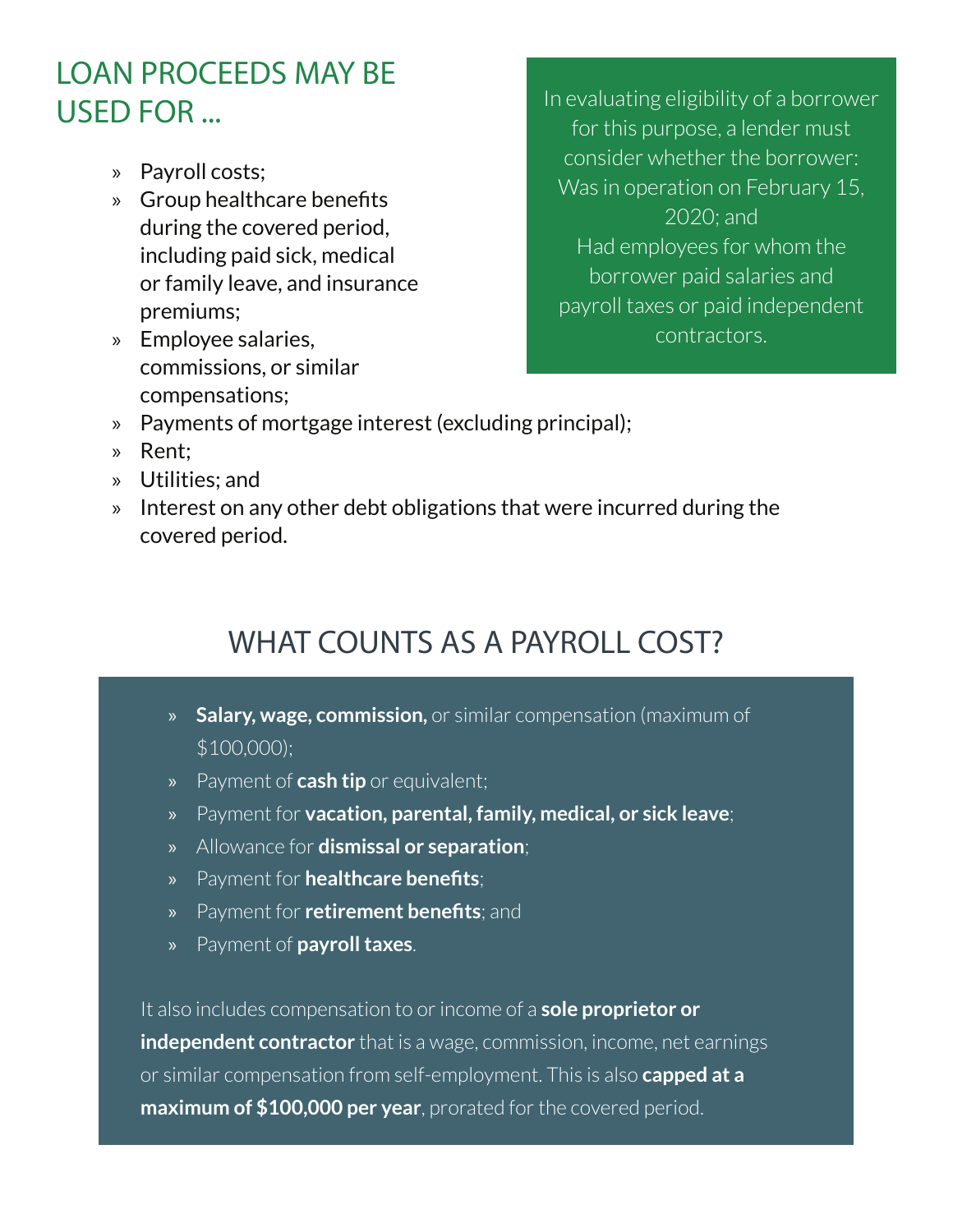## LOAN PROCEEDS MAY BE USED FOR ...

- » Payroll costs;
- » Group healthcare benefits during the covered period, including paid sick, medical or family leave, and insurance premiums;
- » Employee salaries, commissions, or similar compensations;

In evaluating eligibility of a borrower for this purpose, a lender must consider whether the borrower: Was in operation on February 15, 2020; and Had employees for whom the borrower paid salaries and payroll taxes or paid independent

contractors.

- » Payments of mortgage interest (excluding principal);
- » Rent;
- » Utilities; and
- » Interest on any other debt obligations that were incurred during the covered period.

# WHAT COUNTS AS A PAYROLL COST?

- » **Salary, wage, commission,** or similar compensation (maximum of \$100,000);
- » Payment of **cash tip** or equivalent;
- » Payment for **vacation, parental, family, medical, or sick leave**;
- » Allowance for **dismissal or separation**;
- » Payment for **healthcare benefits**;
- » Payment for **retirement benefits**; and
- » Payment of **payroll taxes**.

It also includes compensation to or income of a **sole proprietor or independent contractor** that is a wage, commission, income, net earnings or similar compensation from self-employment. This is also **capped at a maximum of \$100,000 per year**, prorated for the covered period.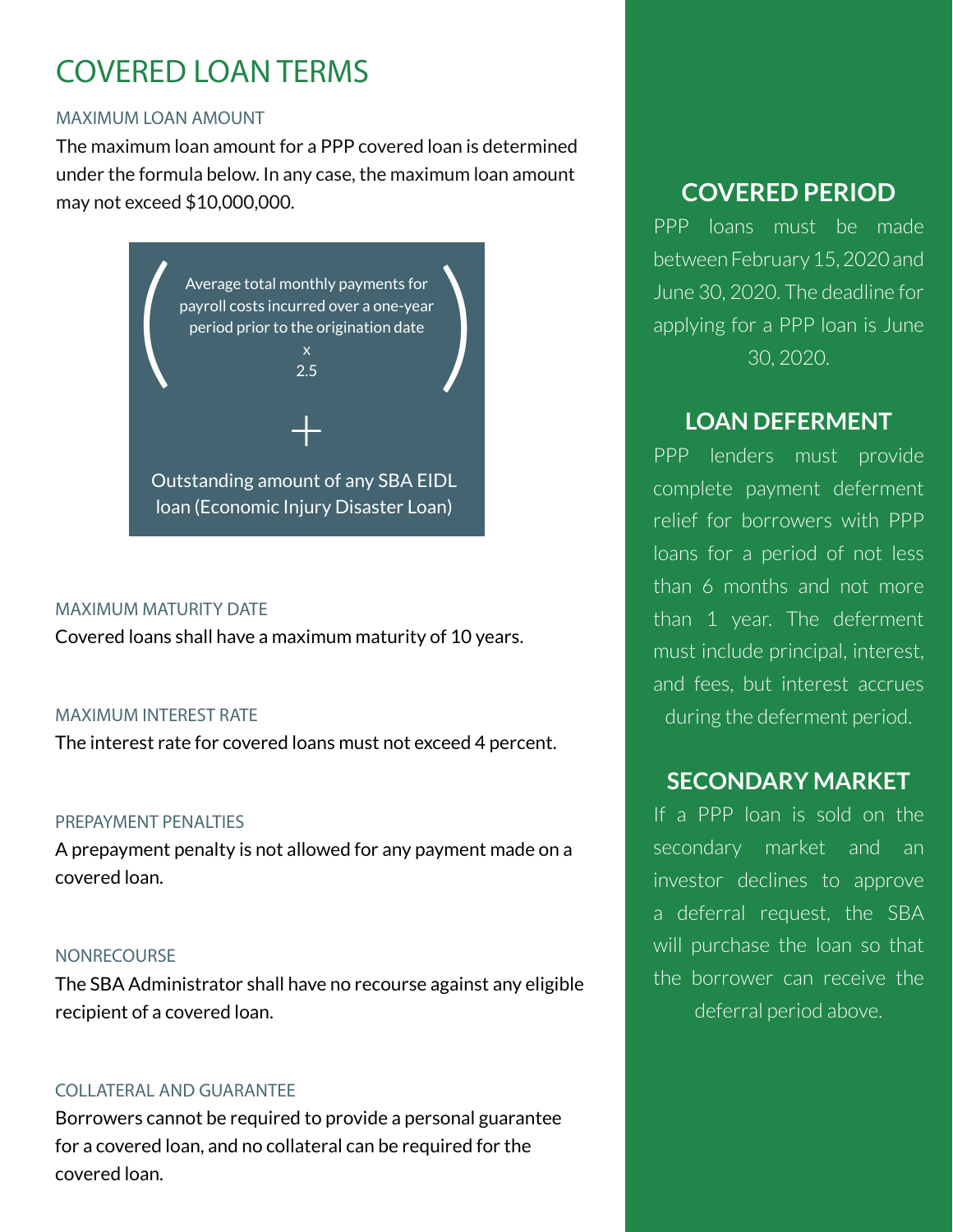# COVERED LOAN TERMS

#### MAXIMUM LOAN AMOUNT

The maximum loan amount for a PPP covered loan is determined under the formula below. In any case, the maximum loan amount may not exceed \$10,000,000.



#### MAXIMUM MATURITY DATE

Covered loans shall have a maximum maturity of 10 years.

#### MAXIMUM INTEREST RATE

The interest rate for covered loans must not exceed 4 percent.

#### PREPAYMENT PENALTIES

A prepayment penalty is not allowed for any payment made on a covered loan.

#### NONRECOURSE

The SBA Administrator shall have no recourse against any eligible recipient of a covered loan.

### COLLATERAL AND GUARANTEE

Borrowers cannot be required to provide a personal guarantee for a covered loan, and no collateral can be required for the covered loan.

## **COVERED PERIOD**

PPP loans must be made between February 15, 2020 and June 30, 2020. The deadline for applying for a PPP loan is June 30, 2020.

## **LOAN DEFERMENT**

PPP lenders must provide complete payment deferment relief for borrowers with PPP loans for a period of not less than 6 months and not more than 1 year. The deferment must include principal, interest, and fees, but interest accrues during the deferment period.

## **SECONDARY MARKET**

If a PPP loan is sold on the secondary market and an investor declines to approve a deferral request, the SBA will purchase the loan so that the borrower can receive the deferral period above.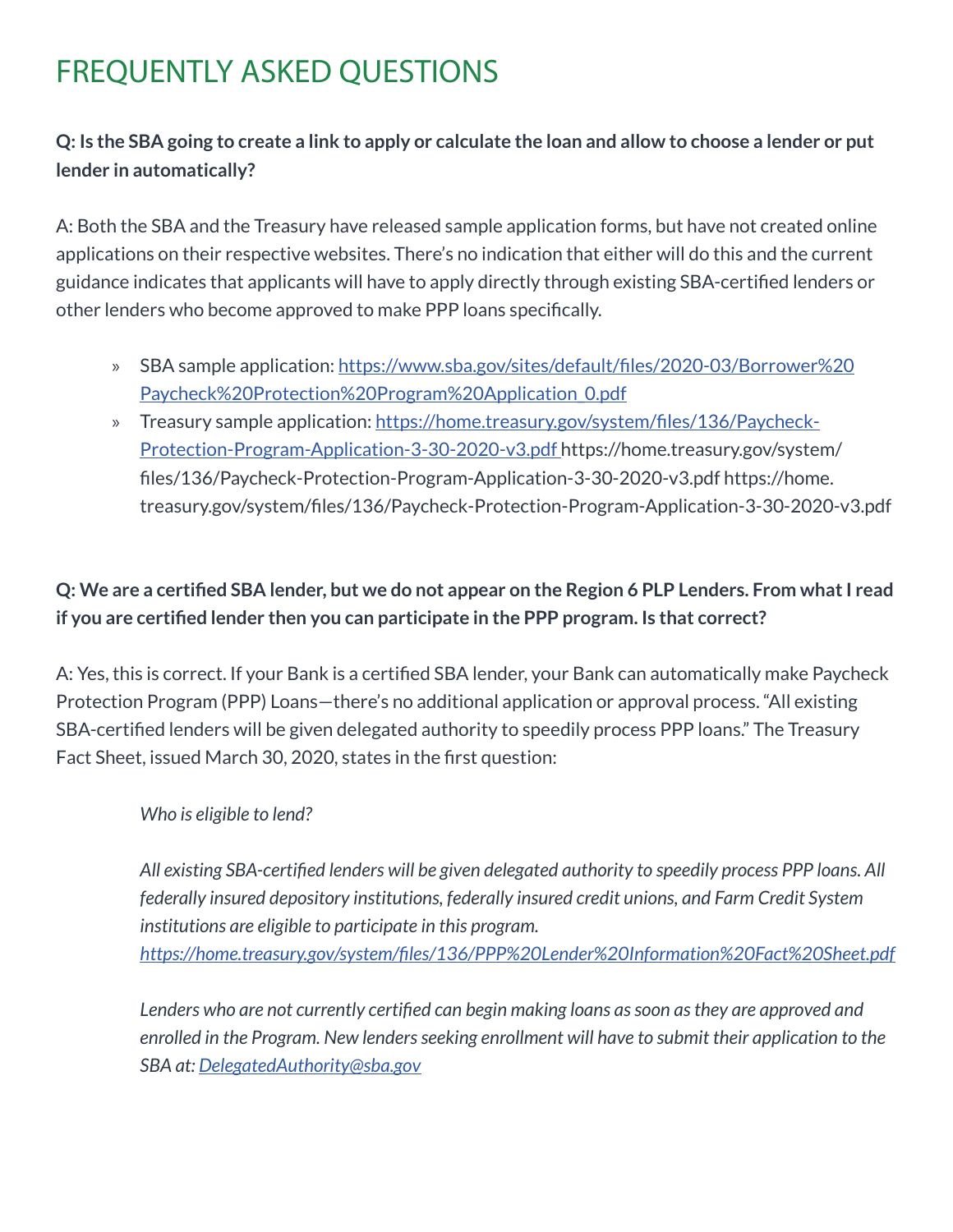## **Q: Is the SBA going to create a link to apply or calculate the loan and allow to choose a lender or put lender in automatically?**

A: Both the SBA and the Treasury have released sample application forms, but have not created online applications on their respective websites. There's no indication that either will do this and the current guidance indicates that applicants will have to apply directly through existing SBA-certified lenders or other lenders who become approved to make PPP loans specifically.

- » SBA sample application: https://www.sba.gov/sites/default/files/2020-03/Borrower%20 Paycheck%20Protection%20Program%20Application\_0.pdf
- » Treasury sample application: https://home.treasury.gov/system/files/136/Paycheck-Protection-Program-Application-3-30-2020-v3.pdf https://home.treasury.gov/system/ files/136/Paycheck-Protection-Program-Application-3-30-2020-v3.pdf https://home. treasury.gov/system/files/136/Paycheck-Protection-Program-Application-3-30-2020-v3.pdf

## **Q: We are a certified SBA lender, but we do not appear on the Region 6 PLP Lenders. From what I read if you are certified lender then you can participate in the PPP program. Is that correct?**

A: Yes, this is correct. If your Bank is a certified SBA lender, your Bank can automatically make Paycheck Protection Program (PPP) Loans—there's no additional application or approval process. "All existing SBA-certified lenders will be given delegated authority to speedily process PPP loans." The Treasury Fact Sheet, issued March 30, 2020, states in the first question:

### *Who is eligible to lend?*

*All existing SBA-certified lenders will be given delegated authority to speedily process PPP loans. All federally insured depository institutions, federally insured credit unions, and Farm Credit System institutions are eligible to participate in this program. https://home.treasury.gov/system/files/136/PPP%20Lender%20Information%20Fact%20Sheet.pdf*

*Lenders who are not currently certified can begin making loans as soon as they are approved and enrolled in the Program. New lenders seeking enrollment will have to submit their application to the SBA at: DelegatedAuthority@sba.gov*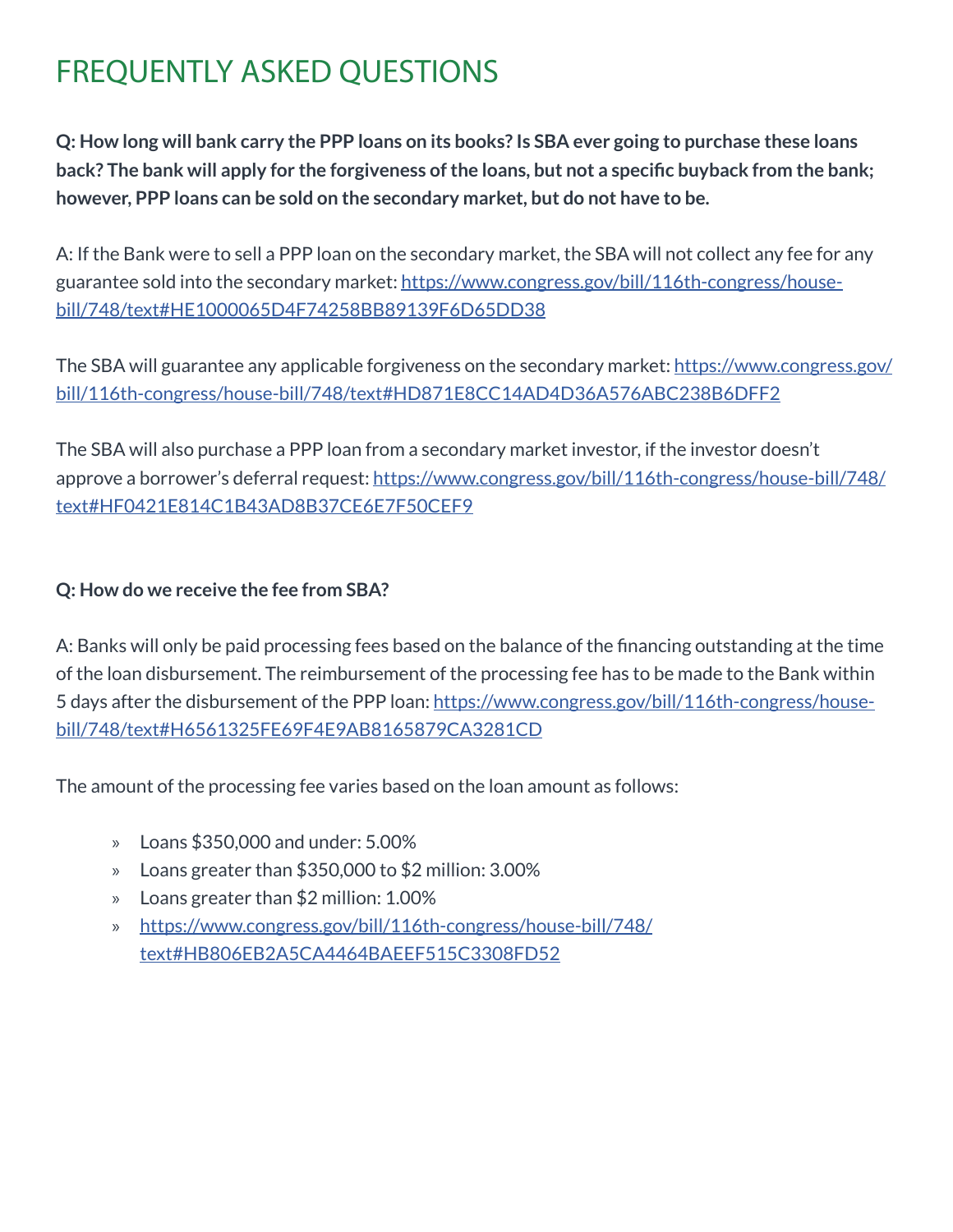**Q: How long will bank carry the PPP loans on its books? Is SBA ever going to purchase these loans back? The bank will apply for the forgiveness of the loans, but not a specific buyback from the bank; however, PPP loans can be sold on the secondary market, but do not have to be.**

A: If the Bank were to sell a PPP loan on the secondary market, the SBA will not collect any fee for any guarantee sold into the secondary market: https://www.congress.gov/bill/116th-congress/housebill/748/text#HE1000065D4F74258BB89139F6D65DD38

The SBA will guarantee any applicable forgiveness on the secondary market: https://www.congress.gov/ bill/116th-congress/house-bill/748/text#HD871E8CC14AD4D36A576ABC238B6DFF2

The SBA will also purchase a PPP loan from a secondary market investor, if the investor doesn't approve a borrower's deferral request: https://www.congress.gov/bill/116th-congress/house-bill/748/ text#HF0421E814C1B43AD8B37CE6E7F50CEF9

### **Q: How do we receive the fee from SBA?**

A: Banks will only be paid processing fees based on the balance of the financing outstanding at the time of the loan disbursement. The reimbursement of the processing fee has to be made to the Bank within 5 days after the disbursement of the PPP loan: https://www.congress.gov/bill/116th-congress/housebill/748/text#H6561325FE69F4E9AB8165879CA3281CD

The amount of the processing fee varies based on the loan amount as follows:

- » Loans \$350,000 and under: 5.00%
- » Loans greater than \$350,000 to \$2 million: 3.00%
- » Loans greater than \$2 million: 1.00%
- » https://www.congress.gov/bill/116th-congress/house-bill/748/ text#HB806EB2A5CA4464BAEEF515C3308FD52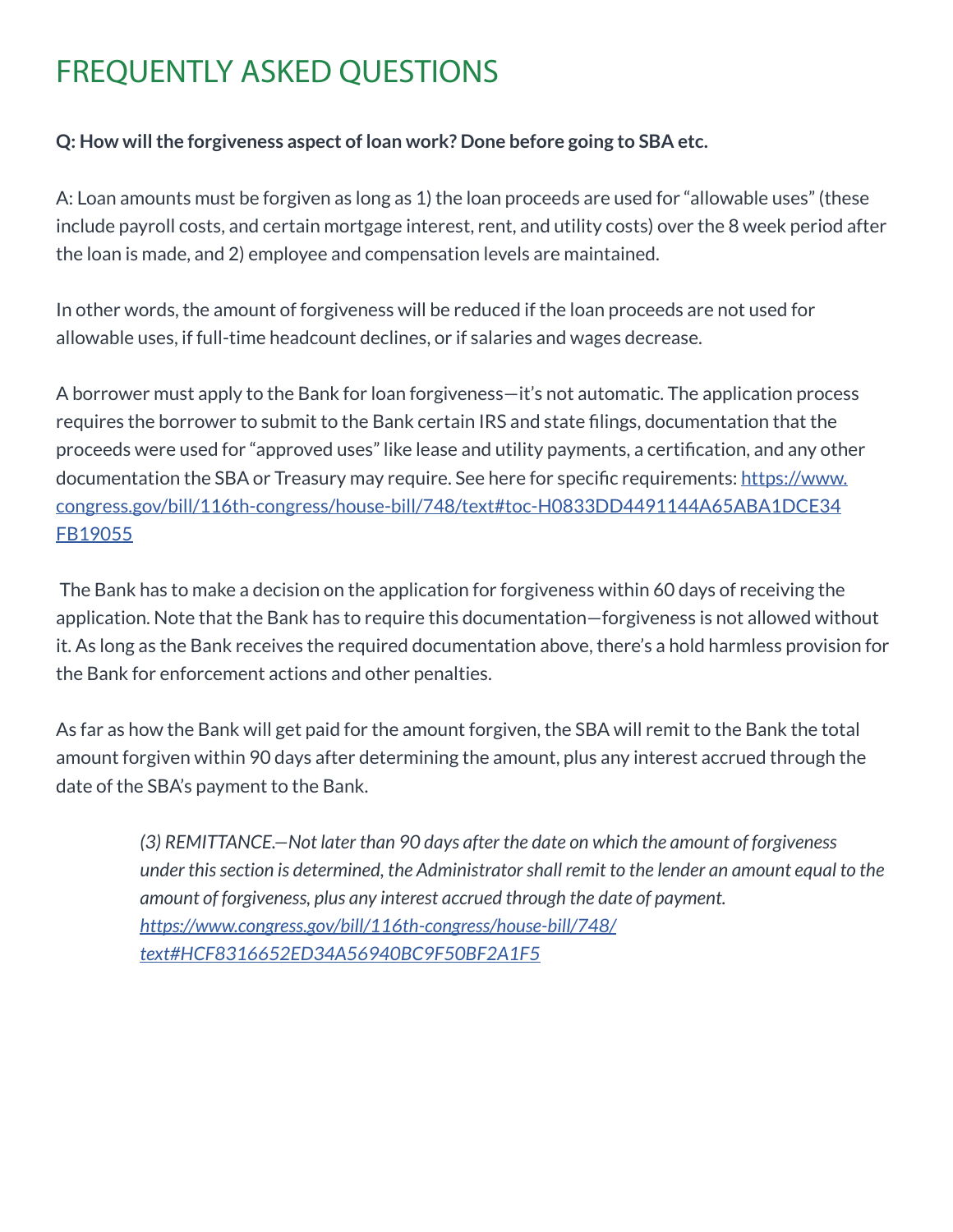### **Q: How will the forgiveness aspect of loan work? Done before going to SBA etc.**

A: Loan amounts must be forgiven as long as 1) the loan proceeds are used for "allowable uses" (these include payroll costs, and certain mortgage interest, rent, and utility costs) over the 8 week period after the loan is made, and 2) employee and compensation levels are maintained.

In other words, the amount of forgiveness will be reduced if the loan proceeds are not used for allowable uses, if full-time headcount declines, or if salaries and wages decrease.

A borrower must apply to the Bank for loan forgiveness—it's not automatic. The application process requires the borrower to submit to the Bank certain IRS and state filings, documentation that the proceeds were used for "approved uses" like lease and utility payments, a certification, and any other documentation the SBA or Treasury may require. See here for specific requirements: https://www. congress.gov/bill/116th-congress/house-bill/748/text#toc-H0833DD4491144A65ABA1DCE34 FB19055

 The Bank has to make a decision on the application for forgiveness within 60 days of receiving the application. Note that the Bank has to require this documentation—forgiveness is not allowed without it. As long as the Bank receives the required documentation above, there's a hold harmless provision for the Bank for enforcement actions and other penalties.

As far as how the Bank will get paid for the amount forgiven, the SBA will remit to the Bank the total amount forgiven within 90 days after determining the amount, plus any interest accrued through the date of the SBA's payment to the Bank.

> *(3) REMITTANCE.—Not later than 90 days after the date on which the amount of forgiveness under this section is determined, the Administrator shall remit to the lender an amount equal to the amount of forgiveness, plus any interest accrued through the date of payment. https://www.congress.gov/bill/116th-congress/house-bill/748/ text#HCF8316652ED34A56940BC9F50BF2A1F5*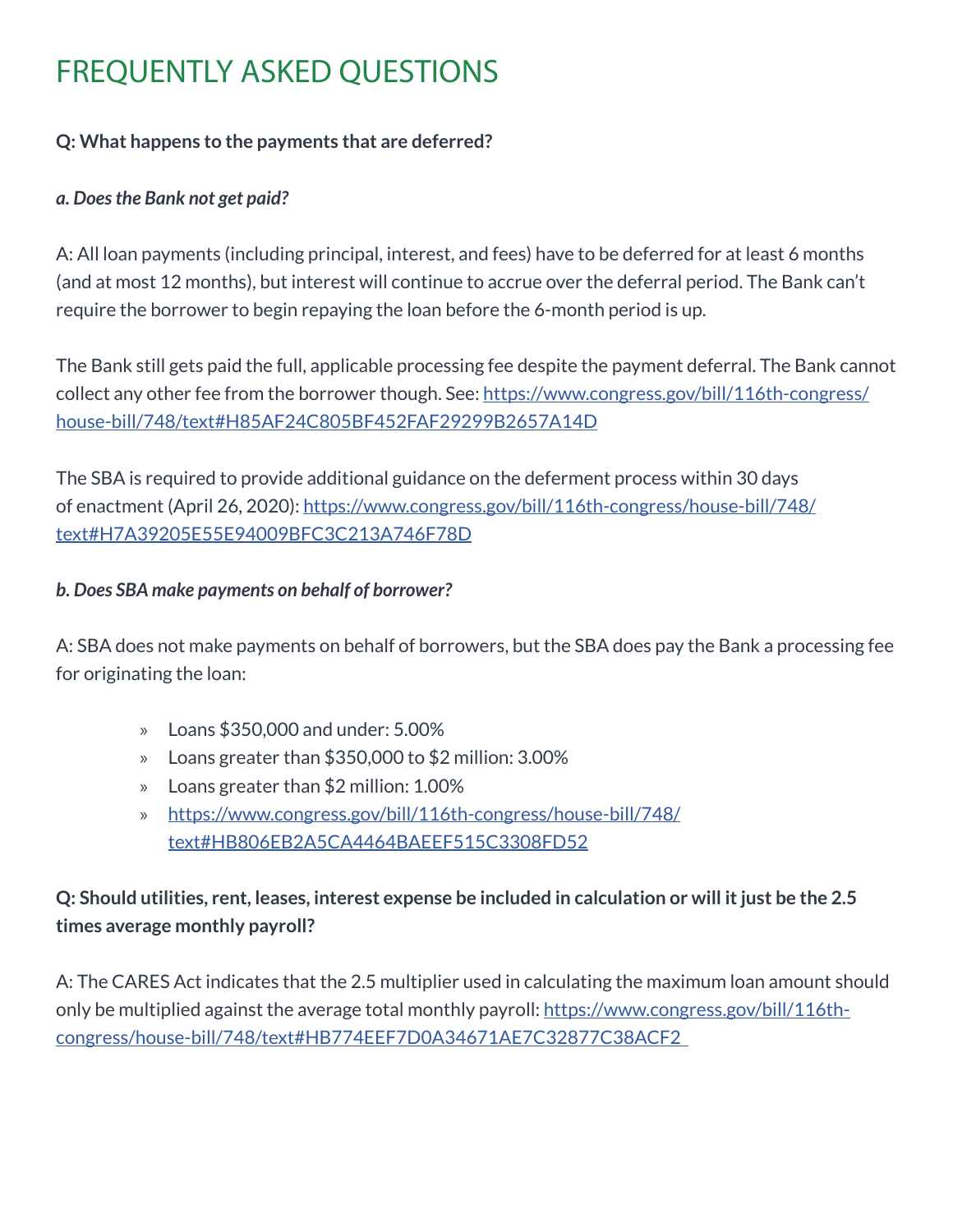### **Q: What happens to the payments that are deferred?**

### *a. Does the Bank not get paid?*

A: All loan payments (including principal, interest, and fees) have to be deferred for at least 6 months (and at most 12 months), but interest will continue to accrue over the deferral period. The Bank can't require the borrower to begin repaying the loan before the 6-month period is up.

The Bank still gets paid the full, applicable processing fee despite the payment deferral. The Bank cannot collect any other fee from the borrower though. See: https://www.congress.gov/bill/116th-congress/ house-bill/748/text#H85AF24C805BF452FAF29299B2657A14D

The SBA is required to provide additional guidance on the deferment process within 30 days of enactment (April 26, 2020): https://www.congress.gov/bill/116th-congress/house-bill/748/ text#H7A39205E55E94009BFC3C213A746F78D

### *b. Does SBA make payments on behalf of borrower?*

A: SBA does not make payments on behalf of borrowers, but the SBA does pay the Bank a processing fee for originating the loan:

- » Loans \$350,000 and under: 5.00%
- » Loans greater than \$350,000 to \$2 million: 3.00%
- » Loans greater than \$2 million: 1.00%
- » https://www.congress.gov/bill/116th-congress/house-bill/748/ text#HB806EB2A5CA4464BAEEF515C3308FD52

## **Q: Should utilities, rent, leases, interest expense be included in calculation or will it just be the 2.5 times average monthly payroll?**

A: The CARES Act indicates that the 2.5 multiplier used in calculating the maximum loan amount should only be multiplied against the average total monthly payroll: https://www.congress.gov/bill/116thcongress/house-bill/748/text#HB774EEF7D0A34671AE7C32877C38ACF2